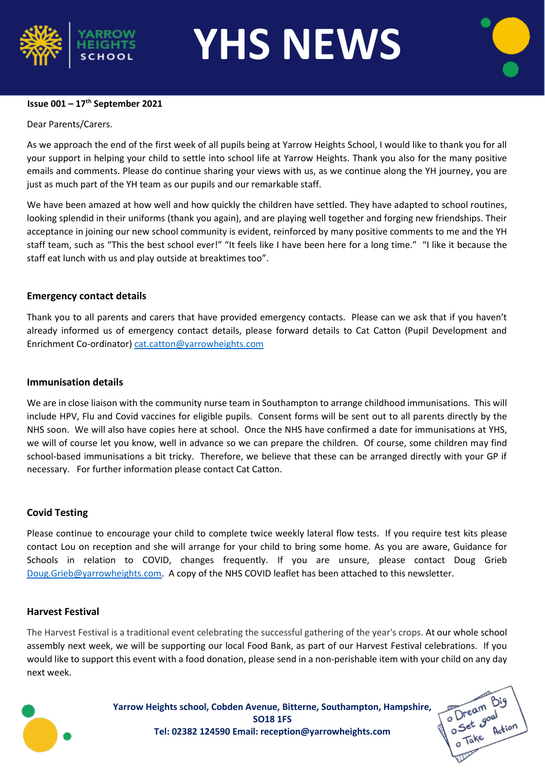

**YHS NEWS**

#### **Issue 001 – 17th September 2021**

#### Dear Parents/Carers.

As we approach the end of the first week of all pupils being at Yarrow Heights School, I would like to thank you for all your support in helping your child to settle into school life at Yarrow Heights. Thank you also for the many positive emails and comments. Please do continue sharing your views with us, as we continue along the YH journey, you are just as much part of the YH team as our pupils and our remarkable staff.

We have been amazed at how well and how quickly the children have settled. They have adapted to school routines, looking splendid in their uniforms (thank you again), and are playing well together and forging new friendships. Their acceptance in joining our new school community is evident, reinforced by many positive comments to me and the YH staff team, such as "This the best school ever!" "It feels like I have been here for a long time." "I like it because the staff eat lunch with us and play outside at breaktimes too".

## **Emergency contact details**

Thank you to all parents and carers that have provided emergency contacts. Please can we ask that if you haven't already informed us of emergency contact details, please forward details to Cat Catton (Pupil Development and Enrichment Co-ordinator) [cat.catton@yarrowheights.com](mailto:cat.catton@yarrowheights.com)

#### **Immunisation details**

We are in close liaison with the community nurse team in Southampton to arrange childhood immunisations. This will include HPV, Flu and Covid vaccines for eligible pupils. Consent forms will be sent out to all parents directly by the NHS soon. We will also have copies here at school. Once the NHS have confirmed a date for immunisations at YHS, we will of course let you know, well in advance so we can prepare the children. Of course, some children may find school-based immunisations a bit tricky. Therefore, we believe that these can be arranged directly with your GP if necessary. For further information please contact Cat Catton.

## **Covid Testing**

Please continue to encourage your child to complete twice weekly lateral flow tests. If you require test kits please contact Lou on reception and she will arrange for your child to bring some home. As you are aware, Guidance for Schools in relation to COVID, changes frequently. If you are unsure, please contact Doug Grieb [Doug.Grieb@yarrowheights.com.](mailto:Doug.Grieb@yarrowheights.com) A copy of the NHS COVID leaflet has been attached to this newsletter.

## **Harvest Festival**

The Harvest Festival is a traditional event celebrating the successful gathering of the year's crops. At our whole school assembly next week, we will be supporting our local Food Bank, as part of our Harvest Festival celebrations. If you would like to support this event with a food donation, please send in a non-perishable item with your child on any day next week.



**Yarrow Heights school, Cobden Avenue, Bitterne, Southampton, Hampshire, SO18 1FS Tel: 02382 124590 Email: reception@yarrowheights.com**